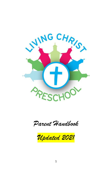

*Parent Handbook*

*Updated 2021*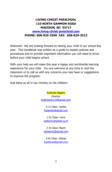# **LIVING CHRIST PRESCHOOL 110 NORTH GAMMON ROAD MADISON, WI 53717 [www.living-christ-preschool.com](http://www.living-christ-preschool.com/) PHONE: 608-829-3598 FAX: 608-829-3513**

Welcome! We are looking forward to having your child in our school this year. This handbook was written as a guide to explain policies and procedures and to provide important information you will need to know before your child begins school.

With your help we will make this year a happy and worthwhile learning experience for your child. You are welcome at any time to visit the classroom or to call us with any concerns you may have or suggestions to improve the program.

God bless us all in our ministry to His children.

Amanda Higgins **Director** [lcpdirector110@gmail.com](mailto:lcpdirector110@gmail.com)

> 0-1s Class: Lambs [lcplambs@gmail.com](mailto:lcplambs@gmail.com)

1-2s Class: Lions [lcplions1@gmail.co,m](mailto:lcplions1@gmail.co,m)

2-3s Class: Bears [lcpbears2@gmail.com](mailto:lcpbears2@gmail.com)

3-4s Class: Zebras [lcpzebras@gmail.com](mailto:lcpzebras@gmail.com)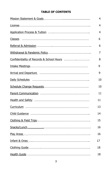# **TABLE OF CONTENTS**

|                                                                                                                      | 4  |
|----------------------------------------------------------------------------------------------------------------------|----|
|                                                                                                                      | 4  |
|                                                                                                                      | 4  |
|                                                                                                                      | 6  |
|                                                                                                                      | 6  |
|                                                                                                                      | 7  |
|                                                                                                                      | 8  |
|                                                                                                                      | 9  |
| Arrival and Departure <b>contained and allegan and Departure</b> contained and and and the contained and and allegan | 9  |
|                                                                                                                      | 10 |
|                                                                                                                      | 10 |
|                                                                                                                      | 11 |
|                                                                                                                      | 11 |
|                                                                                                                      | 13 |
|                                                                                                                      | 14 |
|                                                                                                                      | 15 |
|                                                                                                                      | 16 |
|                                                                                                                      | 16 |
|                                                                                                                      | 17 |
|                                                                                                                      | 18 |
|                                                                                                                      | 18 |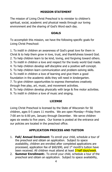# **MISSION STATEMENT**

The mission of Living Christ Preschool is to minister to children's spiritual, social, academic and physical needs through our loving environment and the sharing of God's Word each day.

# **GOALS**

To accomplish this mission, we have the following specific goals for Living Christ Preschool:

1. To instill in children an awareness of God's great love for them in Christ & to help them grow in love, trust, and thankfulness toward God. 2. To help children learn to be kind, loving, and forgiving toward others. 3. To instill in children a love and respect for the lovely world God made. 4. To help children develop self-discipline and a positive self-concept. 5. To help children learn communication and problem-solving skills. 6. To instill in children a love of learning and give them a good foundation in the academic skills they will need in kindergarten. 7. To give children opportunities to express themselves creatively through free play, art, music, and movement activities. 8. To help children develop physically with large & fine motor activities.

9. To instill in children a love of music and singing.

# **LICENSE**

Living Christ Preschool is licensed by the State of Wisconsin for 50 children, ages 0-5 years 11 months. We are open Monday—Friday from 7:00 am to 6:00 pm, January through December. We serve children ages six weeks to five years. Our license is posted at the entrance and our policies are located in the preschool office.

# **APPLICATION PROCESS AND TUITION**

- 1. **Fall/ Annual Enrollment:** To enroll your child, schedule a tour of the preschool and obtain an application. Subject to space availability, children are enrolled after completed applications are processed, application fee of  $$60$ / $$90$ , and  $1<sup>st</sup>$  month's tuition have been received. All children must attend at least 3 half days/week.
- 2. **Summer Enrollment:**. To enroll your child, schedule a tour of the preschool and obtain an application. Subject to space availability,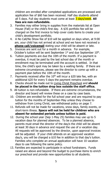children are enrolled after completed applications are processed and application fee of \$60 has been received. Half day students attend all 5 days. Full day students must come at least 3 days/week. **All fees are non-refundable.**

- 3. Families may either bring in supplies from the materials list at Open House (Fall) or the child's first day. A \$35 portfolio fee will be charged on the first invoice to help cover costs items to create your child's development portfolio.
- 4. A No Call/No Show fee of \$10 will be applied on days when, at 9:00 am, your child has not arrived at school and we have not received a **phone call/voicemail** stating your child will be absent or late.
- 5. Invoices are sent out for a month in advance. For example, October's tuition will be sent September  $1<sup>st</sup>$  and due September  $10<sup>th</sup>$ .
- 6. Tuition payments are due the 10th of the month. If a payment is overdue, it must be paid by the last school day of the month or enrollment may be terminated until the account is settled. In that time, the child's spot may be taken by a waiting family. If there are extreme circumstances, please see the director to come up with a payment plan before the 10th of the month.
- 7. Payments received after the  $10<sup>th</sup>$  will incur a \$20 late fee, with an additional \$20 for every 5 days the payment remains overdue.
- 8. Checks should be made out to Living Christ Preschool and **should be placed in the tuition drop box outside the staff office.**
- 9. All tuition is non-refundable. If there are extreme circumstances, the director and board will review these on a case by case basis.
- 10. Children are enrolled for the full school year and are required to pay tuition for the months of September-May unless they choose to withdraw from Living Christ, see withdrawal policy on page 7.
- 11. Refunds will not be made for vacations, snow days, family events, or short-term illness. **Space will not be held for children who are absent for extended periods unless tuition is paid.**
- 12. During the school year (Sep 1-May 25) families may use up to 5 vacation days for planned absences. To be a planned absence, parents must email the director of the day/s the child will be absent at least 30 days in advance and request the use of a vacation day. All requests will be approved by the director, upon approval invoices will be adjusted. If your child attends on an approved vacation day/s, you will be charged a \$10 fee in addition to that day's tuition. Families who complete an annual application will have 10 vacation days to use following the same policy.
- 13. Families are expected to participate in school fundraisers. Funds raised are above and beyond the budget to purchase items to enrich our preschool and provide new opportunities to all students.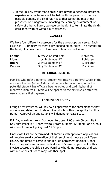14. In the unlikely event that a child is not having a beneficial preschool experience, a conference will be held with the parents to discuss possible options. If a child has needs that cannot be met at our preschool or is negatively impacting the learning environment or safety of other children, we reserve the right to terminate the child's enrollment with or without a conference.

#### **CLASSES**

We have four different classrooms for the age groups we serve. Each class has 1-2 primary teachers daily depending on ratios. The number to the far right is how many children each classroom will enroll.

| 6 weeks at start date | 8 children  |
|-----------------------|-------------|
| 1 by September $1st$  | 8 children  |
| 2 by September $1st$  | 10 children |
| 3 by September $1st$  | 16 children |
|                       |             |

#### **REFERRAL CREDITS**

Families who refer a potential student will receive a Referral Credit in the amount of either \$60 or 1 days tuition (whichever is more) after the potential student has officially been enrolled and paid his/her first month's tuition fees. Credit will be applied to the first invoice after the new student's first payment.

### **ADMISSION POLICY**

Living Christ Preschool will review all applications for enrollment as they come in and date them to determine priority within the application time frame. Approval on applications will depend on class space.

Full Day enrollment runs from open to close, 7:00 am-6:00 pm. Half Day enrollment is AM only, typically from 8:30 am-12:30 pm, or a 5 hour window of time not going past 12:30 pm.

Once class lists are determined, all families with approved applications will receive email confirmation of their enrollment, notice about Open House, and times to come in and pick up enrollment packets & door fobs. They will also receive the first month's invoice; payment of this invoice secures the child's spot. Families who do not respond and pay within 2 weeks of notice may lose their spot.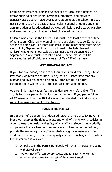Living Christ Preschool admits students of any race, color, national or ethnic origin to all the rights, privileges, programs, and activities generally accorded or made available to students at the school. It does not discriminate on the basis of race, color, national or ethnic origin in administration of its educational policies, admissions policies, scholarship and loan program, or other school-administered programs.

Children who enroll in the Lambs class must be at least 6 weeks at time of admission. Children who enroll in the Lions class must be 12 months at time of admission. Children who enroll in the Bears class must be two years old by September 1<sup>st</sup> and do not need to be toilet trained. Children who enroll in our Zebras class must be three years old by September  $1<sup>st</sup>$  and must be toilet trained. Summer classes will be separated based off children's ages as of May 25<sup>th</sup> of that year.

### **WITHDRAWAL POLICY**

If you, for any reason, decide to withdraw your child from Living Christ Preschool, we require a written 30-day notice. Please note that any outstanding invoices need to be paid. After leaving, all future communication will be sent to the contact information on file.

As a reminder, application fees and tuition are non-refundable. This counts for those paying in full for summer tuition. If you pay in full for all 12 weeks and get the 10% discount then decided to withdraw, you will not receive a refund for that tuition.

### **PANDEMIC POLICY**

In the event of a pandemic or declared national emergency Living Christ Preschool reserves the right to enact any or all of the following policies in order to keep the health and safety of all staff and students as a priority, compensate the teachers for their work even when not in the building, provide the necessary snacks/materials/building maintenance for the children in our care, and maintain quality care and teaching opportunities for the children in our care.

- 1. All policies in the Parent Handbook will remain in place, including withdrawal policy.
- 2. We will not offer temporary spots, any families who wish to enroll must commit to the rest of the current session.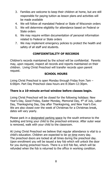- 3. Families are welcome to keep their children at home, but are still responsible for paying tuition as lesson plans and activities will be made available
- 4. We will follow all mandated Federal or State of Wisconsin orders
- 5. We will determine eligibility for attendance based on Federal or State orders
- 6. We may require written documentation of personal information related to Federal or State orders
- 7. We may implement emergency policies to protect the health and safety of all staff and students.

# **CONFIDENTIALITY OF RECORDS**

Children's records maintained by the school will be confidential. Parents may, upon request, inspect all records and reports maintained on their children. Living Christ Preschool will transfer records upon parent request.

### **SCHOOL HOURS**

Living Christ Preschool is open Monday through Friday from 7am – 6:00pm. Part Day Preschool class hours are 8:30am-12:30pm.

### **There is a 10-minute arrival window before classes begin.**

Living Christ Preschool will be closed for the following holidays: New Year's Day, Good Friday, Easter Monday, Memorial Day, 4<sup>th</sup> of July, Labor Day, Thanksgiving Day, Day after Thanksgiving, and New Year's Eve. We are also closed over the week of Christmas for a Christmas break, dates will vary yearly.

Please park in a designated parking space by the south entrance to the building and bring your child to the preschool entrance. After outer wear is removed, walk with your child to the classroom.

At Living Christ Preschool we believe that regular attendance is vital to a child's education. Children are expected to be on time every day. The preschool doors are locked at all times during the preschool day. Upon enrollment you will be issued a key fob which will unlock the door for you during preschool hours. There is a \$10 fob fee, which will be refunded when the fob is returned to the office in working condition.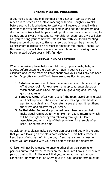### **INTAKE MEETING PROCEDURE**

If your child is starting mid-Summer or mid-School Year teachers will reach out to schedule an intake meeting with you. Roughly 2 weeks before your child is scheduled to start you will receive an email with a few times for you and your child to come in and see the classroom and discuss items like schedule, pick up/drop off procedures, what to bring to school, and answer any questions. For children under age 2 we will also ask you to bring your completed Intake Form with you to this meeting. Please respond promptly to this email so that time can be arranged for all classroom teachers to be present for most of the Intake Meeting. At this meeting you will also receive your key fob and any missing forms to be completed before your child's first day.

#### **ARRIVAL AND DEPARTURE**

When you arrive, please help your child hang up any coats, hats, or jackets before entering the classroom. Sign in your child on the clipboard and let the teachers know about how your child's day has been so far. Drop offs can be difficult, here are some tips for success:

- 1. **Establish a routine**: Follow the same steps each time you drop off at preschool. For example, hang up coat, enter classroom, wash hands while Dad/Mom signs in, give a hug and kiss, say good-bye, leave.
- 2. **Separate Once:** After you have left the room, avoid coming back until pick up time. The moment of you leaving is the hardest part for your child, and if you return several times, it lengthens the stress and anxiety for your child.
- 3. **Be Reliable:** Return at a promised time. Teachers can help make visual reminders for when Mom or Dad is returning which will be strengthened by you following through. Children associate best with parts of their schedule, for example after snack, or before nap time.

At pick up time, please make sure you sign your child out with the time that you are leaving on the classroom clipboard. This helps teachers keep track of who has left for the day. Also, make sure the teacher knows you are leaving with your child before exiting the classroom.

Children will not be released to anyone other than their parents or persons authorized by the parents on the Child Care Enrollment Form to pick up their child. In the event that you, or an authorized person, cannot pick up your child, an Alternative Pick-Up Consent form must be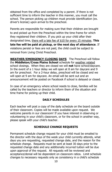obtained from the office and completed by a parent. If there is not sufficient time to inform the teacher in this manner, you must call the school. The person picking up children must provide identification (ex. driver's license) upon arrival to the preschool.

Parents are responsible for making sure that their children are brought to and picked up from the Preschool within the time frame for which they registered their children. If you pick up your child after their designated time, there will a late fee of \$10 for every 15 minutes. **This late fee will be paid at pickup, or the next day of attendance**. If violations persist or fees are not paid, the child could be subject to removal from Living Christ Preschool.

**WEATHER/EMERGENCY CLOSING DAYS** The Preschool will follow the **Middleton/Cross Plains School** schedule for weather related school closings. When they are closed we will **not** have school/daycare. In the event of a 1 hour delay we will open at 8 am for daycare and 9 am for preschool. For a 2-hour delay, preschool will be closed and we will open at 9 am for daycare. An email will be sent out and an announcement will be posted on Facebook if school is delayed or closed.

In case of an emergency where school needs to close, families will be called by the teachers or director to inform them of the situation and time frame for picking up their child.

### **DAILY SCHEDULES**

Each teacher will post a copy of the daily schedule on the board outside of their classroom. Copies will be made available upon request. We welcome parents in our classroom! If you have interest in observing or volunteering in your child's classroom, or for the school in another way, please speak with your child's teacher.

### **SCHEDULE CHANGE REQUESTS**

Permanent schedule change request for your child must be emailed to the director with the days of the week your child currently attends, what days you are requesting, requested change date, and the reason for the schedule change. Requests must be sent at least 30 days prior to the requested change date and any additionally incurred tuition will be due upon approval of the request. All requests will be reviewed and acceptance/denial will be dependent on classroom ratios. Limit schedule changes to necessary requests only as consistency in a child's schedule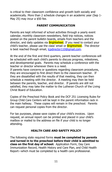is critical to their classroom confidence and growth both socially and academically. More than 2 schedule changes in an academic year (Sep 1- May 25) may incur a \$50 fee.

# **PARENT COMMUNICATION**

Parents are kept informed of school activities through a yearly event calendar, monthly classroom newsletters, field trip notices, notices posted on the parent bulletin boards, emails from teachers and the director, and daily updates via **Brightwheel**. If you need to contact your child's teacher, please use the class' email or **Brightwheel**. The director is best reached though email, [lcpdirector110@gmail.com.](mailto:lcpdirector110@gmail.com)

At the end of the first and third quarters, parent-teacher conferences will be scheduled with each child's parents to discuss progress, milestones, and developmental goals. Parents may schedule a conference with the teacher or director whenever there is a need.

If parents have concerns or questions regarding classroom procedures, they are encouraged to first direct them to the classroom teacher. If they are dissatisfied with the results of that meeting, they can then schedule a meeting with the director. A meeting may then be held between the parents, teacher, and director. If parents are still not satisfied, they may take the matter to the Lutheran Church of the Living Christ Board of Education.

Copies of the Preschool Policy Book and the DCF 251 Licensing Rules for Group Child Care Centers will be kept in the parent information rack in the main hallway. These copies will remain in the preschool. Parents can request personal copies from the director.

For tax purposes, please save copies of your child's invoices. Upon request, an annual report can be printed and placed in your child's mailbox or mailed to the address on file if your child is no longer attending.

### **HEALTH CARE AND SAFETY POLICY**

The following state required forms **must be completed by parents and turned in to the preschool before their child is admitted to class on the first day of school:** Application Form, Day Care Immunization Record, Health History and Care Plan, and Child Health Report—which must be completed by a health care professional.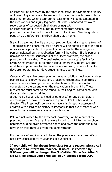Children will be observed by the staff upon arrival for symptoms of injury or illness. Any contusions, lacerations, burns or unusual bruises noted at that time, or any which occur during class time, will be documented in the medications and injury log book. All staff is mandated by law to report cases of suspected child abuse or neglect.

Children who are ill are required to stay home from school. The preschool is not licensed to care for mildly ill children. See the guide on page 17 as a reference if children should stay home.

If a child becomes ill while at school (ex. vomiting, diarrhea or a fever of 100 degrees or higher), the child's parent will be notified to pick the child up as soon as possible. If a parent is not available, the emergency person indicated on the application form will be called. If this person is unavailable and the seriousness of the illness warrants, the child's physician will be called. The designated emergency care facility for Living Christ Preschool is Meriter Hospital Emergency Room. Children must be symptom free for 24 hours before returning to school. Make up days are not granted for days students miss due to illness.

Center staff may give prescription or non-prescription medication such as pain relievers, allergy medication, or asthma treatments in controlled circumstances following the precise directions on the medical form completed by the parent when the medication is brought in. These medications must come to the school in their original containers, with dosage orders clearly printed.

If your child has an allergy (food or otherwise) or any other dietary concerns please make them known to your child's teacher and the director. The Preschool's policy is to have a list in each classroom of children with allergies or dietary restrictions so that every teacher who works in that classroom is aware of such issues.

Pets are not owned by the Preschool, however, can be a part of the preschool program. If an animal were to be brought into the preschool, parents would be given advanced notice and given the opportunity to have their child removed from the demonstration.

No weapons of any kind are to be on the premises at any time. We do not allow concealed carry weapons at our school.

**If your child will be absent from class for any reason, please call by 8:45am to inform the teacher. If no call is received by 9:00am, you will be charged the No Call/No Show fee. After 5 No Call/No Shows your child will be un-enrolled from LCP.**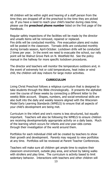All children will be within sight and hearing of a staff person from the time they are dropped off at the preschool to the time they are picked up. If you have a need to reach your child's teacher during class time, please use the **preschool phone number** listed on the first page of the Handbook.

Regular safety inspections of the facilities will be made by the director and unsafe items will be removed, repaired or replaced. Fire drills will be conducted monthly. Fire evacuation plans and routes will be posted in the classroom. Tornado drills are conducted monthly during tornado season, April-October. Lockdown drills will be conducted 2 times per year. In the event we need to evacuate the school, our rally point will be Walnut Grove Park on N. Westfield Rd. See the policy manual in the hallway for more specific lockdown procedures.

The director and teachers will monitor the temperature outdoors and, in the event of extremely hot or cold temperatures, heat index or wind chill, the children will stay indoors for large motor activities.

### **CURRICULUM**

Living Christ Preschool follows a religious curriculum that is designed to take students through the Bible chronologically. It presents the alphabet over the course of these weeks by connecting a different letter to the weekly Bible account. Shapes, numbers, and social-emotional skills are also built into the daily and weekly lessons aligned with the Wisconsin Model Early Learning Standards (WMELS) to ensure that all aspects of your child's development are being met.

Curriculum in the infant and one's rooms is less structured, but equally important. Teachers will also be following the WMELS to ensure children are receiving developmentally appropriate activity on a daily basis. Much of the learning which occurs for infants and one-year-olds comes through their investigation of the world around them.

Portfolios for each individual child will be created by teachers to show their growth and development. Parents may request to view portfolios at any time. Portfolios will be reviewed at Parent Teacher Conferences.

Teachers will make sure all children get ample time to explore their classroom environment, outside play area, and school by taking walks with strollers and play time. The curriculum is activity based to limit sedentary behavior. Interactions with teachers and other children will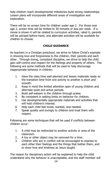help children reach developmental milestones build strong relationships. Lesson plans will incorporate different areas of investigation and exploration.

There will be no screen time for children under age 2. For those over age 2, screen time will be limited to 30 minutes or less per week. If a movie is shown it will be related to curriculum activities, rated G, parents will be advised before-hand, and alternate activities will be available for children to choose.

# **CHILD GUIDANCE**

As teachers in a Christian preschool, we strive to follow Christ's example in showing love and forgiveness to the children, their parents and each other. Through loving, consistent discipline, we strive to help the child gain self-control and respect for the feelings and property of others. The following are some methods that will be used to help discourage inappropriate behavior in children:

- 1. Have the class time well planned and lesson materials ready so the transition time from one activity to another is short and smooth.
- 2. Keep in mind the limited attention span of young children and alternate quiet and active periods.
- 3. Build self-esteem in the children through praise.
- 4. Be consistent in setting limits on behavior for children.
- 5. Use developmentally appropriate materials and activities that will hold children's interest.
- 6. Help each child feel loved, wanted, and needed.
- 7. Speak quietly and lovingly to children and treat them with respect.

Following are some techniques that will be used if conflicts between children occur:

- 1. A child may be redirected to another activity or area of the classroom.
- 2. A toy or other object may be removed for a time.
- 3. Children who are in conflict will be encouraged to express to each other their feelings and the things that bother them, and to show love and kindness as Jesus taught.

The reason for disciplinary action will be explained to help the child understand why the behavior is unacceptable, and the staff member will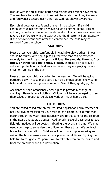discuss with the child some better choices the child might have made. The emphasis for staff and children will be on showing love, kindness, and forgiveness toward each other, as God has shown toward us.

Each child deserves a safe environment in preschool. If a child continues to exhibit harmful behavior such as hitting, biting, kicking, spitting, or verbal abuse after the above disciplinary measures have been taken, a conference with the teacher and the director will be necessary. If the behavior continues after this conference, the child may be removed from the school.

#### **CLOTHING**

Please dress your child comfortably in washable play clothes. Shoes should be sturdy with non-slip soles, the type that can be fastened securely for running and jumping activities. **No sandals, thongs, flipflops, or other "slip on" shoes, please**, as these do not provide sufficient protection for children's feet when they are playing on wood chips, or running in the gym.

Please dress your child according to the weather. We will be going outdoors daily. Please make sure your child brings boots, snow pants, hats, and mittens during winter months. See clothing guide, pg. 16.

Accidents or spills occasionally occur, please provide a change of clothing. Please label all clothing. Children will be encouraged to dress themselves at preschool so please work on this at home also.

### **FIELD TRIPS**

You are asked to indicate on the required Application Form whether or not you give permission for your child to participate in field trips that occur through the year. This includes walks to the park for the children in the Bears and Zebras classes. Additionally, several days prior to each field trip, notices will be posted indicating the event and time. We may need your help to supervise the children on these trips. We contract buses for transportation. Children will be counted upon entering and exiting the bus to ensure everyone is present at all times. Signing the field trip forms gives LCP permission to take children on the bus to and from the preschool and trip destination.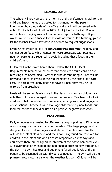# **SNACKS/LUNCH**

The school will provide both the morning and the afternoon snack for the children. Snack menus are posted for the month on the parent information board outside of the office. AM snack will be served with milk. If juice is listed, it will be 100% fruit juice for the PM. Please refrain from bringing snacks from home except for birthdays. If you would like to provide snacks for the class on your child's birthday, please let the teacher know a few days in advance to request suggestions.

Living Christ Preschool is a **"peanut and tree nut free" facility** and will not serve foods which contain or were processed with peanuts or nuts. All parents are required to avoid including these foods in their children's lunch.

Children's lunches from home should follow the CACFP Meal Requirements (can be found on parent board) to ensure children are receiving a balanced meal. Any child who doesn't bring a lunch will be provided a meal following these requirements by the school at a \$10 cost. If a child frequently does not have a lunch, they may be unenrolled from preschool.

Meals will be served family style in the classrooms and as children are able they will be encouraged to serve themselves. Teachers will sit with children to help facilitate use of manners, serving skills, and engage in conversations. Teachers will encourage children to try new foods, but food will not be withheld or used as a positive/negative motivator.

### **PLAY AREAS**

Daily schedules are created to offer each age group at least 45 minutes of outdoor/gross motor activity per half-day. The large playground is designed for our children ages 2 and above. The play area directly outside the infant classroom and the small playground are reserved for children in the infant and one's classes respectively as the toys and equipment there are designed for children at their developmental level. All playgrounds offer shaded and non-shaded areas to play throughout the day. The gym has toys and equipment for all age levels and the option to be sectioned off with dividers as needed. The gym will be the primary gross motor area when the weather is poor. Children will be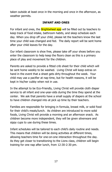taken outside at least once in the morning and once in the afternoon, as weather permits.

#### **INFANT AND ONES**

For infant and ones, the **Brightwheel app** will be filled out by teachers to keep track of food intake, bathroom habits, and sleep schedule each day. When you drop off your child, please let the teachers know the last time your child was changed and fed. The daily report will be sent home after your child leaves for the day.

Our infant classroom is shoe free, please take off your shoes before you enter the classroom to help keep the floors clean as this is a primary place of play and movement for the children.

Parents are asked to provide a fitted crib sheet for their child which will be sent home weekly to be washed. Living Christ will keep extras on hand in the event that a sheet gets dirty throughout the week. Your child may use a pacifier at nap time, but for health reasons, it will be kept in his/her cubby when not in use.

In the attempt to be Eco-Friendly, Living Christ will provide cloth diaper service to all infant and one-year-olds during the time they spend at the center. We ask that parents have a small supply of diapers at the school to have children changed into at pick up time by their teachers.

Families are responsible for bringing in formula, breast milk, or solid food for their child's meals/lunch. As children are introduced to more solid foods, Living Christ will provide a morning and an afternoon snack. As children become more independent, they will be given silverware and sippy cups to use during these times.

Infant schedules will be tailored to each child's daily routine and needs. This means that children will be doing activities at different times, allowing teachers time for one-on-one interaction throughout the day. As they get closer to transitioning to the Lions class, children will begin training for one nap after lunch, from 12:30-2:30 pm.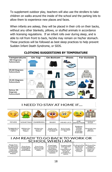To supplement outdoor play, teachers will also use the strollers to take children on walks around the inside of the school and the parking lots to allow them to experience new places and faces.

When infants are asleep, they will be placed in their crib on their backs, without any other blankets, pillows, or stuffed animals in accordance with licensing regulations. If an infant rolls over during sleep, and is able to roll from front to back, he/she may remain on his/her stomach. These practices will be followed as best sleep practices to help prevent Sudden Infant Death Syndrome, or SIDS.

| <b>Temperature</b>                              | On Top | <b>On Bottom</b> | <b>Shoes</b> | <b>For Outside</b> |
|-------------------------------------------------|--------|------------------|--------------|--------------------|
| +60 Degrees<br><b>Fahrenheit</b>                |        |                  |              |                    |
| 45-60 Degrees<br><b>Fahrenheit</b>              |        |                  |              |                    |
| 35-45 Degrees<br><b>Fahrenheit</b>              |        |                  |              |                    |
| Below 35<br><b>Degrees</b><br><b>Fahrenheit</b> |        |                  |              |                    |

# **CLOTHING SUGGESTIONS BY TEMPERATURE**

| I NEED TO STAY AT HOME IF |  |
|---------------------------|--|
|---------------------------|--|

|                                      |                                |                                |                                       | $\delta$                           | $\sim$                                                             |                                                   |
|--------------------------------------|--------------------------------|--------------------------------|---------------------------------------|------------------------------------|--------------------------------------------------------------------|---------------------------------------------------|
| <b>FEVER</b>                         | <b>VOMITING</b>                | <b>DIARRHEA</b>                | <b>RASH</b>                           | <b>HEAD LICE</b>                   | EYE<br>INFECTION                                                   | <b>HOSPITAL STAY</b><br>AND/OR<br><b>ER VISIT</b> |
| Temperature<br>of 100.4 or<br>higher | Within the<br>past 24<br>hours | Within the<br>past 24<br>hours | Body rash<br>with itching<br>or fever | Itchy head.<br>active head<br>lice | Redness,<br>Itching.<br>and/or<br>"crusty"<br>drainage<br>from eye | <b>Hospital stay</b><br>and/or<br><b>ER</b> visit |

#### I AM READY TO GO BACK TO WORK OR SCHOOL WHEN I AM...

| Fever free<br>Evaluated by Released by<br><b>Treated with</b><br>Free from<br>for 24 hours<br>Free from<br>Free from<br>my doctor<br>rash itching.<br>appropriate<br>without the<br>vomiting for<br>diarrhea for<br>and have<br>lice<br>or fever. I<br>use of fever<br>at least 24<br>at least 2<br>note to<br>treatment at<br>have been<br>reducing<br>solid meals<br>return to<br>hours<br>evaluated by<br>home and<br>medication<br>school.<br>my doctor if<br>proof is<br>i.e. Tylenol.<br>provided to<br>needed.<br>Motrin<br>nurse. | medical<br>provider to<br>return to<br>work or<br>school. |
|-------------------------------------------------------------------------------------------------------------------------------------------------------------------------------------------------------------------------------------------------------------------------------------------------------------------------------------------------------------------------------------------------------------------------------------------------------------------------------------------------------------------------------------------|-----------------------------------------------------------|
|-------------------------------------------------------------------------------------------------------------------------------------------------------------------------------------------------------------------------------------------------------------------------------------------------------------------------------------------------------------------------------------------------------------------------------------------------------------------------------------------------------------------------------------------|-----------------------------------------------------------|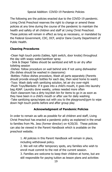The following are the policies enacted due to the COVID-19 pandemic. Living Christ Preschool reserves the right to change or amend these policies at any time during the course of the pandemic to maintain the health and safety of all children and staff at Living Christ Preschool. These policies will remain in effect as long as necessary, or mandated by the Federal Government, CDC, DCF, and/or Dane County Department of Public Health.

# **Cleaning Procedures**

-Clean high touch points (tables, light switch, door knobs) throughout the day with soapy water/sanitizer spray

- Sink & Diaper Tables should be sanitized and left to air dry after toileting session

-Dishes: follow procedure on wall behind sink if not using dishwasher (No dishes should be washed in classrooms)

-Bottles: Follow dishes procedure, Wash all parts separately (Parents should provide enough bottles for each day, then send home to wash) -Toys: Wash daily with sanitizing solution, let air dry over-night -Plush Toys/Blankets: If it goes into a child's mouth, it goes into laundry bag ASAP. Laundry done weekly, unless needed more often -Each classroom has a dirty toy/dish bin for items to go in as soon as they have been in a child's mouth or after use for daily washing -Take sanitizing spray/wipes out with you to the playground/gym to wipe down high touch points before and after group play

### **Acknowledgment of Pandemic Policies**

In order to remain as safe as possible for all children and staff, Living Christ Preschool has enacted a pandemic policy as explained in the email to families from Ms. Jess (former director) on 4/20/20. These policies can also be viewed in the Parent Handbook which is available on the preschool website.

> 1. All policies in this Parent Handbook will remain in place, including withdrawal policy.

2. We will not offer temporary spots, any families who wish to enroll must commit to the rest of the current session.

3. Families are welcome to keep their children at home, but are still responsible for paying tuition as lesson plans and activities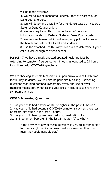will be made available.

4. We will follow all mandated Federal, State of Wisconsin, or Dane County orders.

5. We will determine eligibility for attendance based on Federal, State, or Dane County orders.

6. We may require written documentation of personal information related to Federal, State, or Dane County orders. 7. We may implement additional emergency policies to protect the health and safety of all staff and students.

8. Use the attached Health Policy flow chart to determine if your child is well enough to attend school.

Per point 7 we have already enacted updated health policies by extending to symptom free period to 48 hours as opposed to 24 hours for children with COVID-19 symptoms.

We are checking students temperatures upon arrival and at lunch time for full day students. We will also be periodically asking 3 screening questions regarding potential symptoms, fever, and use of fever reducing medication. When calling your child in sick, please share their symptoms with us.

# **COVID Screening Questions**

1: Has your child had a fever of 100 or higher in the past 48 hours? 2: Has your child had potential COVID-19 symptoms such as shortness of breath/dry cough in the last 48 hours? 3: Has your child been given fever reducing medication like acetaminophen or ibuprofen in the last 24 hours? (If so why?)

> If the answer to any of these questions is yes, child cannot stay for the day. (If medication was used for a reason other than fever they could possibly stay)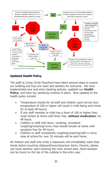

# **Updated Health Policy**

The staff at Living Christ Preschool have taken several steps to ensure our building and toys are clean and sanitary for everyone. We have implemented new and extra cleaning policies, updated our **Health Policy**, and have toy sanitizing routines in place. New updates to the health policy include:

- Temperature checks for all staff and children upon arrival (any temperature of 100 or higher will result in child being sent home for at least 48 hours).
- If any staff member or child has a fever of 100 or higher they must remain at home until fever free, **without medication**, for 48 hours.
- Children or staff with fever, vomiting, consistent coughing/sneezing/runny nose should remain at home until symptom free for 48 hours.
- Children or staff consistently coughing/sneezing/with a runny nose at school for over 30 minutes will be sent home.

All children and staff who enter a classroom will immediately wash their hands before touching clipboard/toys/classroom items. Parents, please use hand sanitizer upon entering the main school area. Hand sanitizer can be found on the top of the cubbies in the entry way.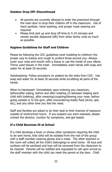### **Outdoor Drop Off: Discontinued**

- All parents are currently allowed to enter the preschool through the main door to drop their children off in the classroom. Use of hand sanitizer, hand washing, and proper mask wearing are required.
- Please limit pick up and drop off time to 5-10 minutes and remain socially distanced (6ft) from other family units as much as possible.

### **Hygiene Guidelines for Staff and Children**

Please be following the CDC guidelines (and modeling to children) the proper way to sneeze and cough to protect those around you: Always cover your nose and mouth with a tissue or use the inside of your elbow. Throw used tissues in the trash. Immediately wash hands with soap and water for at least 20 seconds.

Handwashing: Follow procedure on posters by the sinks from CDC. Use soap and water for at least 20 seconds while scrubbing all parts of the hands.

When to Handwash: Immediately upon entering any classroom, before/after eating, before and after toileting (in between helping each child with toileting), after sneezing/coughing/blowing your nose, before going outside or to the gym, after encountering bodily fluid (drool, spit, etc), and any other time you feel the need.

Staff and families are asked to do their best to limit chances of exposure outside of work/school hours. If you suspect you were exposed, please contact the director, monitor for symptoms, and get tested.

### **If a Child Becomes Ill at School**

If a child develops a fever or shows other symptoms requiring the child to be sent home, that child will be isolated from the rest of the group with a staff member wearing gloves and a mask. The other teachers in the room will collect all the child's belongings to send home. All toys and surfaces will be sanitized and toys will be removed from the classroom to be cleaned. Parents will be notified and requested to call upon arrival so the staff member with the child can meet the parent at the door. Child